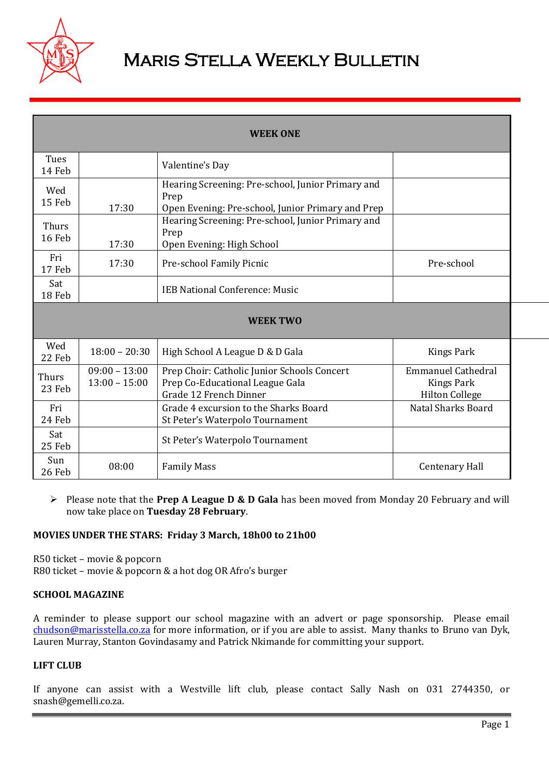

# Maris Stella Weekly Bulletin

| <b>WEEK ONE</b> |                                    |                                                                                                                |                                                                         |  |  |  |
|-----------------|------------------------------------|----------------------------------------------------------------------------------------------------------------|-------------------------------------------------------------------------|--|--|--|
| Tues<br>14 Feb  |                                    | Valentine's Day                                                                                                |                                                                         |  |  |  |
| Wed<br>15 Feb   | 17:30                              | Hearing Screening: Pre-school, Junior Primary and<br>Prep<br>Open Evening: Pre-school, Junior Primary and Prep |                                                                         |  |  |  |
| Thurs<br>16 Feb | 17:30                              | Hearing Screening: Pre-school, Junior Primary and<br>Prep<br>Open Evening: High School                         |                                                                         |  |  |  |
| Fri<br>17 Feb   | 17:30                              | Pre-school Family Picnic                                                                                       | Pre-school                                                              |  |  |  |
| Sat<br>18 Feb   |                                    | <b>IEB National Conference: Music</b>                                                                          |                                                                         |  |  |  |
|                 |                                    | <b>WEEK TWO</b>                                                                                                |                                                                         |  |  |  |
| Wed<br>22 Feb   | $18:00 - 20:30$                    | High School A League D & D Gala                                                                                | Kings Park                                                              |  |  |  |
| Thurs<br>23 Feb | $09:00 - 13:00$<br>$13:00 - 15:00$ | Prep Choir: Catholic Junior Schools Concert<br>Prep Co-Educational League Gala<br>Grade 12 French Dinner       | <b>Emmanuel Cathedral</b><br><b>Kings Park</b><br><b>Hilton College</b> |  |  |  |
| Fri<br>24 Feb   |                                    | Grade 4 excursion to the Sharks Board<br>St Peter's Waterpolo Tournament                                       | Natal Sharks Board                                                      |  |  |  |
| Sat<br>25 Feb   |                                    | St Peter's Waterpolo Tournament                                                                                |                                                                         |  |  |  |
| Sun<br>26 Feb   | 08:00                              | <b>Family Mass</b>                                                                                             | <b>Centenary Hall</b>                                                   |  |  |  |

 Please note that the **Prep A League D & D Gala** has been moved from Monday 20 February and will now take place on **Tuesday 28 February**.

## **MOVIES UNDER THE STARS: Friday 3 March, 18h00 to 21h00**

R50 ticket – movie & popcorn R80 ticket – movie & popcorn & a hot dog OR Afro's burger

#### **SCHOOL MAGAZINE**

A reminder to please support our school magazine with an advert or page sponsorship. Please email [chudson@marisstella.co.za](mailto:chudson@marisstella.co.za) for more information, or if you are able to assist. Many thanks to Bruno van Dyk, Lauren Murray, Stanton Govindasamy and Patrick Nkimande for committing your support.

## **LIFT CLUB**

If anyone can assist with a Westville lift club, please contact Sally Nash on 031 2744350, or snash@gemelli.co.za.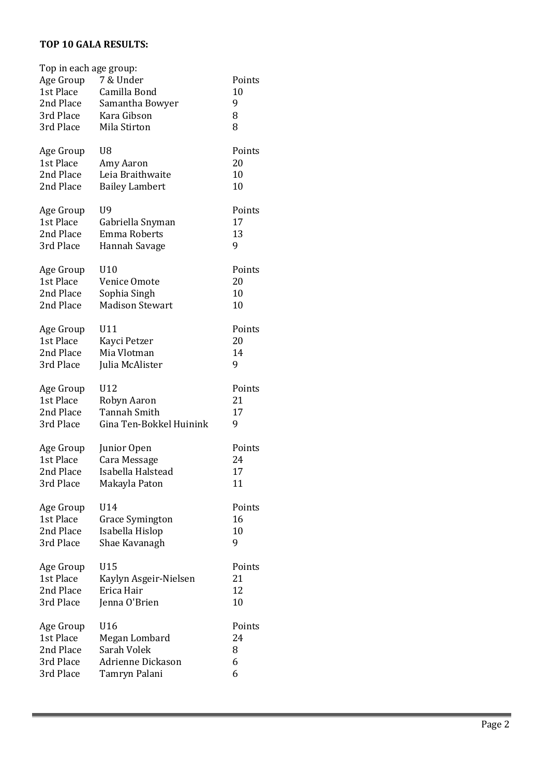## **TOP 10 GALA RESULTS:**

| Top in each age group: |                          |        |
|------------------------|--------------------------|--------|
| Age Group              | 7 & Under                | Points |
| 1st Place              | Camilla Bond             | 10     |
| 2nd Place              | Samantha Bowyer          | 9      |
| 3rd Place              | Kara Gibson              | 8      |
| 3rd Place              | Mila Stirton             | 8      |
|                        |                          |        |
| Age Group              | U8                       | Points |
| 1st Place              | Amy Aaron                | 20     |
| 2nd Place              | Leia Braithwaite         | 10     |
| 2nd Place              | <b>Bailey Lambert</b>    | 10     |
| Age Group              | U9                       | Points |
| 1st Place              | Gabriella Snyman         | 17     |
| 2nd Place              | <b>Emma Roberts</b>      | 13     |
| 3rd Place              |                          | 9      |
|                        | Hannah Savage            |        |
| Age Group              | U10                      | Points |
| 1st Place              | Venice Omote             | 20     |
| 2nd Place              | Sophia Singh             | 10     |
| 2nd Place              | <b>Madison Stewart</b>   | 10     |
|                        |                          |        |
| Age Group              | U11                      | Points |
| 1st Place              | Kayci Petzer             | 20     |
| 2nd Place              | Mia Vlotman              | 14     |
| 3rd Place              | Julia McAlister          | 9      |
|                        | U12                      | Points |
| Age Group<br>1st Place |                          | 21     |
|                        | Robyn Aaron              |        |
| 2nd Place              | <b>Tannah Smith</b>      | 17     |
| 3rd Place              | Gina Ten-Bokkel Huinink  | 9      |
| Age Group              | Junior Open              | Points |
| 1st Place              | Cara Message             | 24     |
| 2nd Place              | Isabella Halstead        | 17     |
| 3rd Place              | Makayla Paton            | 11     |
|                        |                          |        |
| Age Group              | U14                      | Points |
| 1st Place              | <b>Grace Symington</b>   | 16     |
| 2nd Place              | Isabella Hislop          | 10     |
| 3rd Place              | Shae Kavanagh            | 9      |
|                        |                          |        |
| Age Group              | U15                      | Points |
| 1st Place              | Kaylyn Asgeir-Nielsen    | 21     |
| 2nd Place              | Erica Hair               | 12     |
| 3rd Place              | Jenna O'Brien            | 10     |
| Age Group              | U16                      | Points |
| 1st Place              | Megan Lombard            | 24     |
| 2nd Place              | Sarah Volek              | 8      |
| 3rd Place              | <b>Adrienne Dickason</b> | 6      |
| 3rd Place              | Tamryn Palani            | 6      |
|                        |                          |        |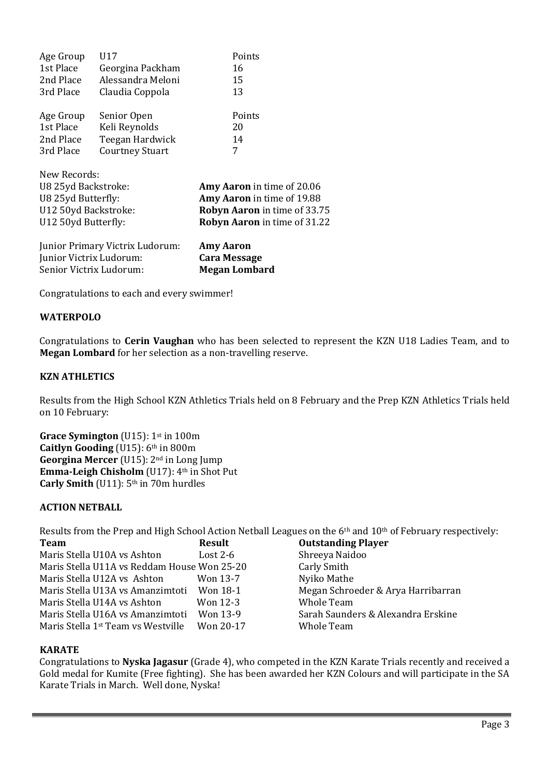| Age Group    | U17                    | Points |  |  |  |
|--------------|------------------------|--------|--|--|--|
| 1st Place    | Georgina Packham       | 16     |  |  |  |
| 2nd Place    | Alessandra Meloni      | 15     |  |  |  |
| 3rd Place    | Claudia Coppola        | 13     |  |  |  |
| Age Group    | Senior Open            | Points |  |  |  |
| 1st Place    | Keli Reynolds          | 20     |  |  |  |
| 2nd Place    | Teegan Hardwick        | 14     |  |  |  |
| 3rd Place    | <b>Courtney Stuart</b> | 7      |  |  |  |
| New Records: |                        |        |  |  |  |

| U8 25yd Backstroke:  | Amy Aaron in time of 20.06          |
|----------------------|-------------------------------------|
| U8 25yd Butterfly:   | Amy Aaron in time of 19.88          |
| U12 50yd Backstroke: | Robyn Aaron in time of 33.75        |
| U12 50yd Butterfly:  | <b>Robyn Aaron</b> in time of 31.22 |
|                      |                                     |

| Junior Primary Victrix Ludorum: | <b>Amy Aaron</b>     |
|---------------------------------|----------------------|
| Junior Victrix Ludorum:         | <b>Cara Message</b>  |
| Senior Victrix Ludorum:         | <b>Megan Lombard</b> |

Congratulations to each and every swimmer!

## **WATERPOLO**

Congratulations to **Cerin Vaughan** who has been selected to represent the KZN U18 Ladies Team, and to **Megan Lombard** for her selection as a non-travelling reserve.

## **KZN ATHLETICS**

Results from the High School KZN Athletics Trials held on 8 February and the Prep KZN Athletics Trials held on 10 February:

**Grace Symington** (U15): 1st in 100m **Caitlyn Gooding** (U15): 6th in 800m **Georgina Mercer** (U15): 2nd in Long Jump **Emma-Leigh Chisholm** (U17): 4th in Shot Put **Carly Smith** (U11): 5th in 70m hurdles

## **ACTION NETBALL**

Results from the Prep and High School Action Netball Leagues on the 6<sup>th</sup> and 10<sup>th</sup> of February respectively:

| <b>Team</b>                                    | <b>Result</b> | <b>Outstanding Player</b>          |
|------------------------------------------------|---------------|------------------------------------|
| Maris Stella U10A vs Ashton                    | Lost $2-6$    | Shreeya Naidoo                     |
| Maris Stella U11A vs Reddam House Won 25-20    |               | Carly Smith                        |
| Maris Stella U12A vs Ashton                    | Won 13-7      | Nyiko Mathe                        |
| Maris Stella U13A vs Amanzimtoti Won 18-1      |               | Megan Schroeder & Arya Harribarran |
| Maris Stella U14A vs Ashton                    | Won 12-3      | <b>Whole Team</b>                  |
| Maris Stella U16A vs Amanzimtoti               | Won 13-9      | Sarah Saunders & Alexandra Erskine |
| Maris Stella 1 <sup>st</sup> Team vs Westville | Won 20-17     | <b>Whole Team</b>                  |

## **KARATE**

Congratulations to **Nyska Jagasur** (Grade 4), who competed in the KZN Karate Trials recently and received a Gold medal for Kumite (Free fighting). She has been awarded her KZN Colours and will participate in the SA Karate Trials in March. Well done, Nyska!